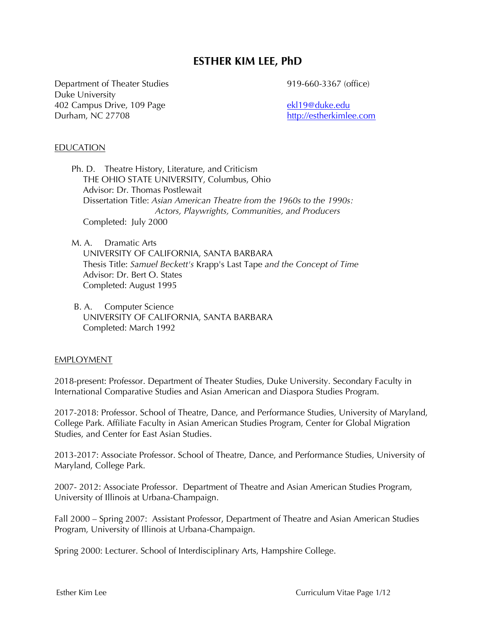# **ESTHER KIM LEE, PhD**

Department of Theater Studies Duke University 402 Campus Drive, 109 Page Durham, NC 27708

919-660-3367 (office)

ekl19@duke.edu http://estherkimlee.com

### EDUCATION

 Ph. D. Theatre History, Literature, and Criticism THE OHIO STATE UNIVERSITY, Columbus, Ohio Advisor: Dr. Thomas Postlewait Dissertation Title: *Asian American Theatre from the 1960s to the 1990s: Actors, Playwrights, Communities, and Producers*  Completed: July 2000

 M. A. Dramatic Arts UNIVERSITY OF CALIFORNIA, SANTA BARBARA Thesis Title: *Samuel Beckett's* Krapp's Last Tape *and the Concept of Time* Advisor: Dr. Bert O. States Completed: August 1995

 B. A. Computer Science UNIVERSITY OF CALIFORNIA, SANTA BARBARA Completed: March 1992

#### EMPLOYMENT

2018-present: Professor. Department of Theater Studies, Duke University. Secondary Faculty in International Comparative Studies and Asian American and Diaspora Studies Program.

2017-2018: Professor. School of Theatre, Dance, and Performance Studies, University of Maryland, College Park. Affiliate Faculty in Asian American Studies Program, Center for Global Migration Studies, and Center for East Asian Studies.

2013-2017: Associate Professor. School of Theatre, Dance, and Performance Studies, University of Maryland, College Park.

2007- 2012: Associate Professor. Department of Theatre and Asian American Studies Program, University of Illinois at Urbana-Champaign.

Fall 2000 – Spring 2007: Assistant Professor, Department of Theatre and Asian American Studies Program, University of Illinois at Urbana-Champaign.

Spring 2000: Lecturer. School of Interdisciplinary Arts, Hampshire College.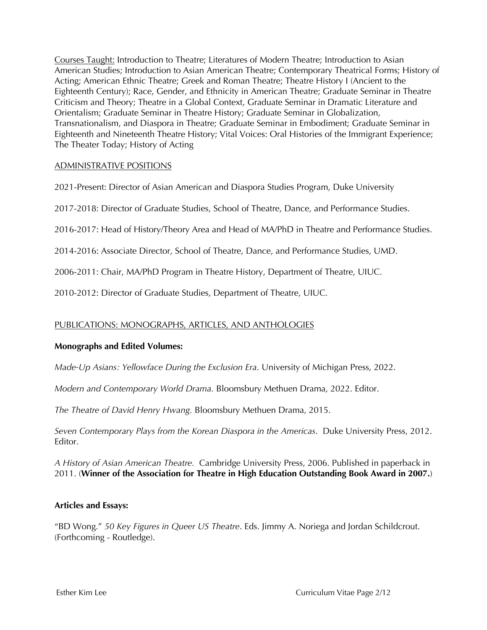Courses Taught: Introduction to Theatre; Literatures of Modern Theatre; Introduction to Asian American Studies; Introduction to Asian American Theatre; Contemporary Theatrical Forms; History of Acting; American Ethnic Theatre; Greek and Roman Theatre; Theatre History I (Ancient to the Eighteenth Century); Race, Gender, and Ethnicity in American Theatre; Graduate Seminar in Theatre Criticism and Theory; Theatre in a Global Context, Graduate Seminar in Dramatic Literature and Orientalism; Graduate Seminar in Theatre History; Graduate Seminar in Globalization, Transnationalism, and Diaspora in Theatre; Graduate Seminar in Embodiment; Graduate Seminar in Eighteenth and Nineteenth Theatre History; Vital Voices: Oral Histories of the Immigrant Experience; The Theater Today; History of Acting

# ADMINISTRATIVE POSITIONS

2021-Present: Director of Asian American and Diaspora Studies Program, Duke University

2017-2018: Director of Graduate Studies, School of Theatre, Dance, and Performance Studies.

2016-2017: Head of History/Theory Area and Head of MA/PhD in Theatre and Performance Studies.

2014-2016: Associate Director, School of Theatre, Dance, and Performance Studies, UMD.

2006-2011: Chair, MA/PhD Program in Theatre History, Department of Theatre, UIUC.

2010-2012: Director of Graduate Studies, Department of Theatre, UIUC.

# PUBLICATIONS: MONOGRAPHS, ARTICLES, AND ANTHOLOGIES

# **Monographs and Edited Volumes:**

*Made-Up Asians: Yellowface During the Exclusion Era*. University of Michigan Press, 2022.

*Modern and Contemporary World Drama.* Bloomsbury Methuen Drama, 2022. Editor.

*The Theatre of David Henry Hwang.* Bloomsbury Methuen Drama, 2015.

*Seven Contemporary Plays from the Korean Diaspora in the Americas*. Duke University Press, 2012. Editor.

*A History of Asian American Theatre.* Cambridge University Press, 2006. Published in paperback in 2011. (**Winner of the Association for Theatre in High Education Outstanding Book Award in 2007.**)

# **Articles and Essays:**

"BD Wong." *50 Key Figures in Queer US Theatre*. Eds. Jimmy A. Noriega and Jordan Schildcrout. (Forthcoming - Routledge).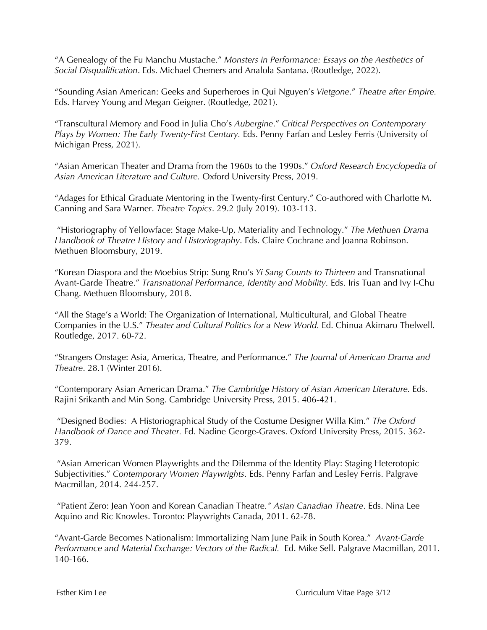"A Genealogy of the Fu Manchu Mustache." *Monsters in Performance: Essays on the Aesthetics of Social Disqualification*. Eds. Michael Chemers and Analola Santana. (Routledge, 2022).

"Sounding Asian American: Geeks and Superheroes in Qui Nguyen's *Vietgone*." *Theatre after Empire.* Eds. Harvey Young and Megan Geigner. (Routledge, 2021).

"Transcultural Memory and Food in Julia Cho's *Aubergine*." *Critical Perspectives on Contemporary*  Plays by Women: The Early Twenty-First Century. Eds. Penny Farfan and Lesley Ferris (University of Michigan Press, 2021).

"Asian American Theater and Drama from the 1960s to the 1990s." *Oxford Research Encyclopedia of Asian American Literature and Culture.* Oxford University Press, 2019.

"Adages for Ethical Graduate Mentoring in the Twenty-first Century." Co-authored with Charlotte M. Canning and Sara Warner. *Theatre Topics*. 29.2 (July 2019). 103-113.

"Historiography of Yellowface: Stage Make-Up, Materiality and Technology." *The Methuen Drama Handbook of Theatre History and Historiography*. Eds. Claire Cochrane and Joanna Robinson. Methuen Bloomsbury, 2019.

"Korean Diaspora and the Moebius Strip: Sung Rno's *Yi Sang Counts to Thirteen* and Transnational Avant-Garde Theatre." *Transnational Performance, Identity and Mobility.* Eds. Iris Tuan and Ivy I-Chu Chang. Methuen Bloomsbury, 2018.

"All the Stage's a World: The Organization of International, Multicultural, and Global Theatre Companies in the U.S." *Theater and Cultural Politics for a New World.* Ed. Chinua Akimaro Thelwell. Routledge, 2017. 60-72.

"Strangers Onstage: Asia, America, Theatre, and Performance." *The Journal of American Drama and Theatre*. 28.1 (Winter 2016).

"Contemporary Asian American Drama." *The Cambridge History of Asian American Literature.* Eds. Rajini Srikanth and Min Song. Cambridge University Press, 2015. 406-421.

"Designed Bodies: A Historiographical Study of the Costume Designer Willa Kim." *The Oxford Handbook of Dance and Theater.* Ed. Nadine George-Graves. Oxford University Press, 2015. 362- 379.

"Asian American Women Playwrights and the Dilemma of the Identity Play: Staging Heterotopic Subjectivities." *Contemporary Women Playwrights*. Eds. Penny Farfan and Lesley Ferris. Palgrave Macmillan, 2014. 244-257.

"Patient Zero: Jean Yoon and Korean Canadian Theatre*." Asian Canadian Theatre*. Eds. Nina Lee Aquino and Ric Knowles. Toronto: Playwrights Canada, 2011. 62-78.

"Avant-Garde Becomes Nationalism: Immortalizing Nam June Paik in South Korea." *Avant-Garde Performance and Material Exchange: Vectors of the Radical.* Ed. Mike Sell. Palgrave Macmillan, 2011. 140-166.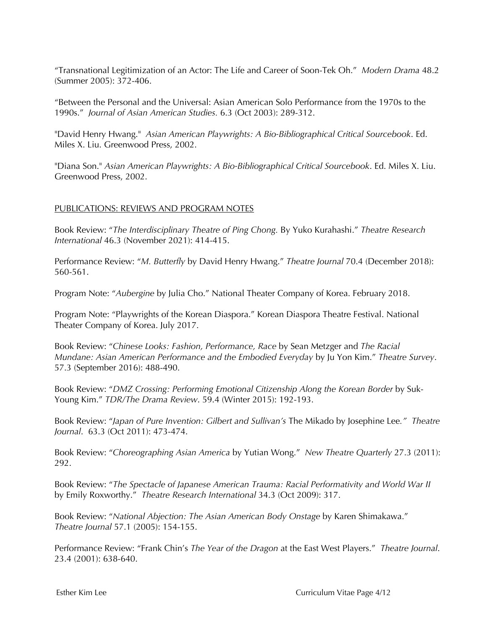"Transnational Legitimization of an Actor: The Life and Career of Soon-Tek Oh." *Modern Drama* 48.2 (Summer 2005): 372-406.

"Between the Personal and the Universal: Asian American Solo Performance from the 1970s to the 1990s." *Journal of Asian American Studies.* 6.3 (Oct 2003): 289-312.

"David Henry Hwang." *Asian American Playwrights: A Bio-Bibliographical Critical Sourcebook*. Ed. Miles X. Liu. Greenwood Press, 2002.

"Diana Son." *Asian American Playwrights: A Bio-Bibliographical Critical Sourcebook*. Ed. Miles X. Liu. Greenwood Press, 2002.

# PUBLICATIONS: REVIEWS AND PROGRAM NOTES

Book Review: "*The Interdisciplinary Theatre of Ping Chong.* By Yuko Kurahashi." *Theatre Research International* 46.3 (November 2021): 414-415.

Performance Review: "*M. Butterfly* by David Henry Hwang." *Theatre Journal* 70.4 (December 2018): 560-561.

Program Note: "*Aubergine* by Julia Cho." National Theater Company of Korea. February 2018.

Program Note: "Playwrights of the Korean Diaspora." Korean Diaspora Theatre Festival. National Theater Company of Korea. July 2017.

Book Review: "*Chinese Looks: Fashion, Performance, Race* by Sean Metzger and *The Racial Mundane: Asian American Performance and the Embodied Everyday* by Ju Yon Kim." *Theatre Survey*. 57.3 (September 2016): 488-490.

Book Review: "*DMZ Crossing: Performing Emotional Citizenship Along the Korean Border* by Suk-Young Kim." *TDR/The Drama Review*. 59.4 (Winter 2015): 192-193.

Book Review: "*Japan of Pure Invention: Gilbert and Sullivan's* The Mikado by Josephine Lee*." Theatre Journal*. 63.3 (Oct 2011): 473-474.

Book Review: "*Choreographing Asian America* by Yutian Wong." *New Theatre Quarterly* 27.3 (2011): 292.

Book Review: "*The Spectacle of Japanese American Trauma: Racial Performativity and World War II*  by Emily Roxworthy." *Theatre Research International* 34.3 (Oct 2009): 317.

Book Review: "*National Abjection: The Asian American Body Onstage* by Karen Shimakawa." *Theatre Journal* 57.1 (2005): 154-155.

Performance Review: "Frank Chin's *The Year of the Dragon* at the East West Players." *Theatre Journal*. 23.4 (2001): 638-640.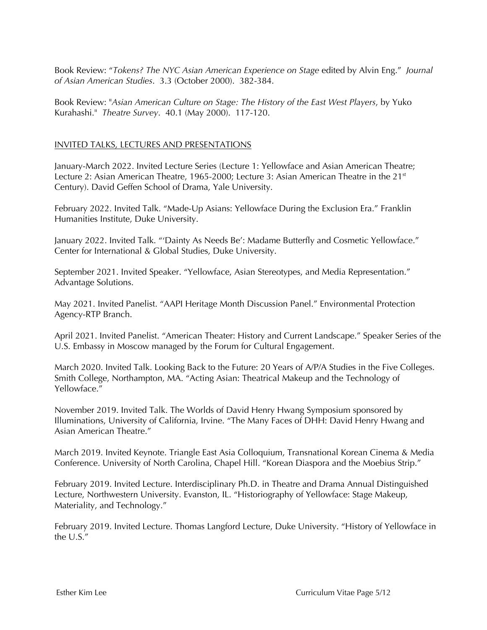Book Review: "*Tokens? The NYC Asian American Experience on Stage* edited by Alvin Eng." *Journal of Asian American Studies*. 3.3 (October 2000). 382-384.

Book Review: "*Asian American Culture on Stage: The History of the East West Players*, by Yuko Kurahashi." *Theatre Survey*. 40.1 (May 2000). 117-120.

# INVITED TALKS, LECTURES AND PRESENTATIONS

January-March 2022. Invited Lecture Series (Lecture 1: Yellowface and Asian American Theatre; Lecture 2: Asian American Theatre, 1965-2000; Lecture 3: Asian American Theatre in the 21<sup>st</sup> Century). David Geffen School of Drama, Yale University.

February 2022. Invited Talk. "Made-Up Asians: Yellowface During the Exclusion Era." Franklin Humanities Institute, Duke University.

January 2022. Invited Talk. "'Dainty As Needs Be': Madame Butterfly and Cosmetic Yellowface." Center for International & Global Studies, Duke University.

September 2021. Invited Speaker. "Yellowface, Asian Stereotypes, and Media Representation." Advantage Solutions.

May 2021. Invited Panelist. "AAPI Heritage Month Discussion Panel." Environmental Protection Agency-RTP Branch.

April 2021. Invited Panelist. "American Theater: History and Current Landscape." Speaker Series of the U.S. Embassy in Moscow managed by the Forum for Cultural Engagement.

March 2020. Invited Talk. Looking Back to the Future: 20 Years of A/P/A Studies in the Five Colleges. Smith College, Northampton, MA. "Acting Asian: Theatrical Makeup and the Technology of Yellowface."

November 2019. Invited Talk. The Worlds of David Henry Hwang Symposium sponsored by Illuminations, University of California, Irvine. "The Many Faces of DHH: David Henry Hwang and Asian American Theatre."

March 2019. Invited Keynote. Triangle East Asia Colloquium, Transnational Korean Cinema & Media Conference. University of North Carolina, Chapel Hill. "Korean Diaspora and the Moebius Strip."

February 2019. Invited Lecture. Interdisciplinary Ph.D. in Theatre and Drama Annual Distinguished Lecture, Northwestern University. Evanston, IL. "Historiography of Yellowface: Stage Makeup, Materiality, and Technology."

February 2019. Invited Lecture. Thomas Langford Lecture, Duke University. "History of Yellowface in the U.S."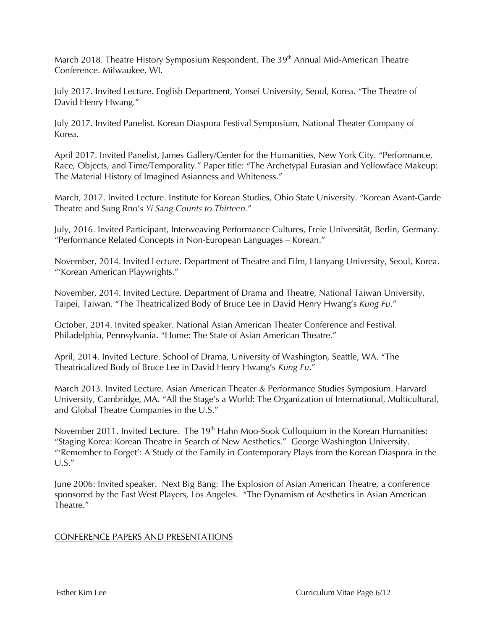March 2018. Theatre History Symposium Respondent. The 39<sup>th</sup> Annual Mid-American Theatre Conference. Milwaukee, WI.

July 2017. Invited Lecture. English Department, Yonsei University, Seoul, Korea. "The Theatre of David Henry Hwang."

July 2017. Invited Panelist. Korean Diaspora Festival Symposium, National Theater Company of Korea.

April 2017. Invited Panelist, James Gallery/Center for the Humanities, New York City. "Performance, Race, Objects, and Time/Temporality." Paper title: "The Archetypal Eurasian and Yellowface Makeup: The Material History of Imagined Asianness and Whiteness."

March, 2017. Invited Lecture. Institute for Korean Studies, Ohio State University. "Korean Avant-Garde Theatre and Sung Rno's *Yi Sang Counts to Thirteen.*"

July, 2016. Invited Participant, Interweaving Performance Cultures, Freie Universität, Berlin, Germany. "Performance Related Concepts in Non-European Languages – Korean."

November, 2014. Invited Lecture. Department of Theatre and Film, Hanyang University, Seoul, Korea. "'Korean American Playwrights."

November, 2014. Invited Lecture. Department of Drama and Theatre, National Taiwan University, Taipei, Taiwan. "The Theatricalized Body of Bruce Lee in David Henry Hwang's *Kung Fu*."

October, 2014. Invited speaker. National Asian American Theater Conference and Festival. Philadelphia, Pennsylvania. "Home: The State of Asian American Theatre."

April, 2014. Invited Lecture. School of Drama, University of Washington, Seattle, WA. "The Theatricalized Body of Bruce Lee in David Henry Hwang's *Kung Fu*."

March 2013. Invited Lecture. Asian American Theater & Performance Studies Symposium. Harvard University, Cambridge, MA. "All the Stage's a World: The Organization of International, Multicultural, and Global Theatre Companies in the U.S."

November 2011. Invited Lecture. The 19<sup>th</sup> Hahn Moo-Sook Colloquium in the Korean Humanities: "Staging Korea: Korean Theatre in Search of New Aesthetics." George Washington University. "'Remember to Forget': A Study of the Family in Contemporary Plays from the Korean Diaspora in the U.S."

June 2006: Invited speaker. Next Big Bang: The Explosion of Asian American Theatre, a conference sponsored by the East West Players, Los Angeles. "The Dynamism of Aesthetics in Asian American Theatre."

# CONFERENCE PAPERS AND PRESENTATIONS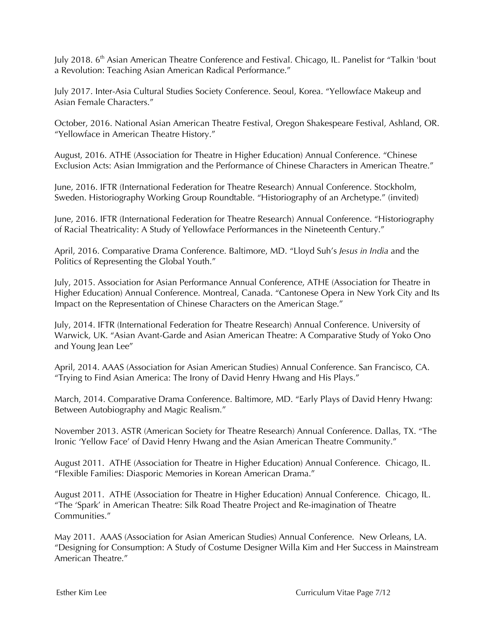July 2018. 6<sup>th</sup> Asian American Theatre Conference and Festival. Chicago, IL. Panelist for "Talkin 'bout a Revolution: Teaching Asian American Radical Performance."

July 2017. Inter-Asia Cultural Studies Society Conference. Seoul, Korea. "Yellowface Makeup and Asian Female Characters."

October, 2016. National Asian American Theatre Festival, Oregon Shakespeare Festival, Ashland, OR. "Yellowface in American Theatre History."

August, 2016. ATHE (Association for Theatre in Higher Education) Annual Conference. "Chinese Exclusion Acts: Asian Immigration and the Performance of Chinese Characters in American Theatre."

June, 2016. IFTR (International Federation for Theatre Research) Annual Conference. Stockholm, Sweden. Historiography Working Group Roundtable. "Historiography of an Archetype." (invited)

June, 2016. IFTR (International Federation for Theatre Research) Annual Conference. "Historiography of Racial Theatricality: A Study of Yellowface Performances in the Nineteenth Century."

April, 2016. Comparative Drama Conference. Baltimore, MD. "Lloyd Suh's *Jesus in India* and the Politics of Representing the Global Youth."

July, 2015. Association for Asian Performance Annual Conference, ATHE (Association for Theatre in Higher Education) Annual Conference. Montreal, Canada. "Cantonese Opera in New York City and Its Impact on the Representation of Chinese Characters on the American Stage."

July, 2014. IFTR (International Federation for Theatre Research) Annual Conference. University of Warwick, UK. "Asian Avant-Garde and Asian American Theatre: A Comparative Study of Yoko Ono and Young Jean Lee"

April, 2014. AAAS (Association for Asian American Studies) Annual Conference. San Francisco, CA. "Trying to Find Asian America: The Irony of David Henry Hwang and His Plays."

March, 2014. Comparative Drama Conference. Baltimore, MD. "Early Plays of David Henry Hwang: Between Autobiography and Magic Realism."

November 2013. ASTR (American Society for Theatre Research) Annual Conference. Dallas, TX. "The Ironic 'Yellow Face' of David Henry Hwang and the Asian American Theatre Community."

August 2011. ATHE (Association for Theatre in Higher Education) Annual Conference. Chicago, IL. "Flexible Families: Diasporic Memories in Korean American Drama."

August 2011. ATHE (Association for Theatre in Higher Education) Annual Conference. Chicago, IL. "The 'Spark' in American Theatre: Silk Road Theatre Project and Re-imagination of Theatre Communities."

May 2011. AAAS (Association for Asian American Studies) Annual Conference. New Orleans, LA. "Designing for Consumption: A Study of Costume Designer Willa Kim and Her Success in Mainstream American Theatre."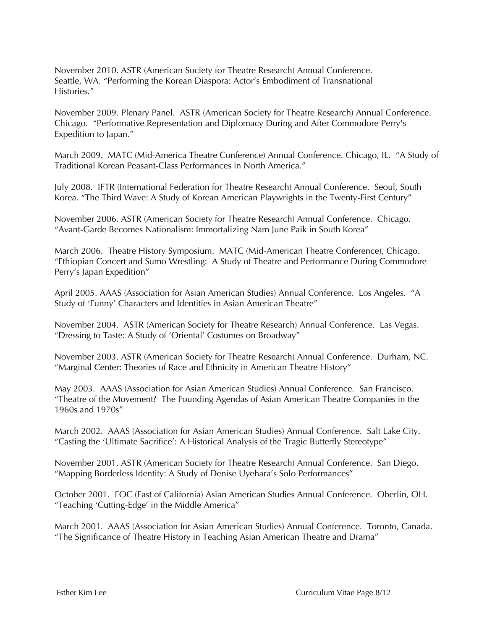November 2010. ASTR (American Society for Theatre Research) Annual Conference. Seattle, WA. "Performing the Korean Diaspora: Actor's Embodiment of Transnational Histories."

November 2009. Plenary Panel. ASTR (American Society for Theatre Research) Annual Conference. Chicago. "Performative Representation and Diplomacy During and After Commodore Perry's Expedition to Japan."

March 2009. MATC (Mid-America Theatre Conference) Annual Conference. Chicago, IL. "A Study of Traditional Korean Peasant-Class Performances in North America."

July 2008. IFTR (International Federation for Theatre Research) Annual Conference. Seoul, South Korea. "The Third Wave: A Study of Korean American Playwrights in the Twenty-First Century"

November 2006. ASTR (American Society for Theatre Research) Annual Conference. Chicago. "Avant-Garde Becomes Nationalism: Immortalizing Nam June Paik in South Korea"

March 2006. Theatre History Symposium. MATC (Mid-American Theatre Conference), Chicago. "Ethiopian Concert and Sumo Wrestling: A Study of Theatre and Performance During Commodore Perry's Japan Expedition"

April 2005. AAAS (Association for Asian American Studies) Annual Conference. Los Angeles. "A Study of 'Funny' Characters and Identities in Asian American Theatre"

November 2004. ASTR (American Society for Theatre Research) Annual Conference. Las Vegas. "Dressing to Taste: A Study of 'Oriental' Costumes on Broadway"

November 2003. ASTR (American Society for Theatre Research) Annual Conference. Durham, NC. "Marginal Center: Theories of Race and Ethnicity in American Theatre History"

May 2003. AAAS (Association for Asian American Studies) Annual Conference. San Francisco. "Theatre of the Movement? The Founding Agendas of Asian American Theatre Companies in the 1960s and 1970s"

March 2002. AAAS (Association for Asian American Studies) Annual Conference. Salt Lake City. "Casting the 'Ultimate Sacrifice': A Historical Analysis of the Tragic Butterfly Stereotype"

November 2001. ASTR (American Society for Theatre Research) Annual Conference. San Diego. "Mapping Borderless Identity: A Study of Denise Uyehara's Solo Performances"

October 2001. EOC (East of California) Asian American Studies Annual Conference. Oberlin, OH. "Teaching 'Cutting-Edge' in the Middle America"

March 2001. AAAS (Association for Asian American Studies) Annual Conference. Toronto, Canada. "The Significance of Theatre History in Teaching Asian American Theatre and Drama"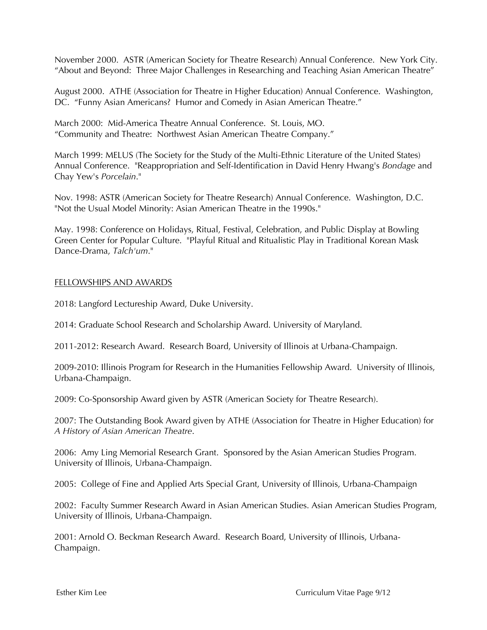November 2000. ASTR (American Society for Theatre Research) Annual Conference. New York City. "About and Beyond: Three Major Challenges in Researching and Teaching Asian American Theatre"

August 2000. ATHE (Association for Theatre in Higher Education) Annual Conference. Washington, DC. "Funny Asian Americans? Humor and Comedy in Asian American Theatre."

March 2000: Mid-America Theatre Annual Conference. St. Louis, MO. "Community and Theatre: Northwest Asian American Theatre Company."

March 1999: MELUS (The Society for the Study of the Multi-Ethnic Literature of the United States) Annual Conference. "Reappropriation and Self-Identification in David Henry Hwang's *Bondage* and Chay Yew's *Porcelain*."

Nov. 1998: ASTR (American Society for Theatre Research) Annual Conference. Washington, D.C. "Not the Usual Model Minority: Asian American Theatre in the 1990s."

May. 1998: Conference on Holidays, Ritual, Festival, Celebration, and Public Display at Bowling Green Center for Popular Culture. "Playful Ritual and Ritualistic Play in Traditional Korean Mask Dance-Drama, *Talch'um*."

## FELLOWSHIPS AND AWARDS

2018: Langford Lectureship Award, Duke University.

2014: Graduate School Research and Scholarship Award. University of Maryland.

2011-2012: Research Award. Research Board, University of Illinois at Urbana-Champaign.

2009-2010: Illinois Program for Research in the Humanities Fellowship Award. University of Illinois, Urbana-Champaign.

2009: Co-Sponsorship Award given by ASTR (American Society for Theatre Research).

2007: The Outstanding Book Award given by ATHE (Association for Theatre in Higher Education) for *A History of Asian American Theatre*.

2006: Amy Ling Memorial Research Grant. Sponsored by the Asian American Studies Program. University of Illinois, Urbana-Champaign.

2005: College of Fine and Applied Arts Special Grant, University of Illinois, Urbana-Champaign

2002: Faculty Summer Research Award in Asian American Studies. Asian American Studies Program, University of Illinois, Urbana-Champaign.

2001: Arnold O. Beckman Research Award. Research Board, University of Illinois, Urbana-Champaign.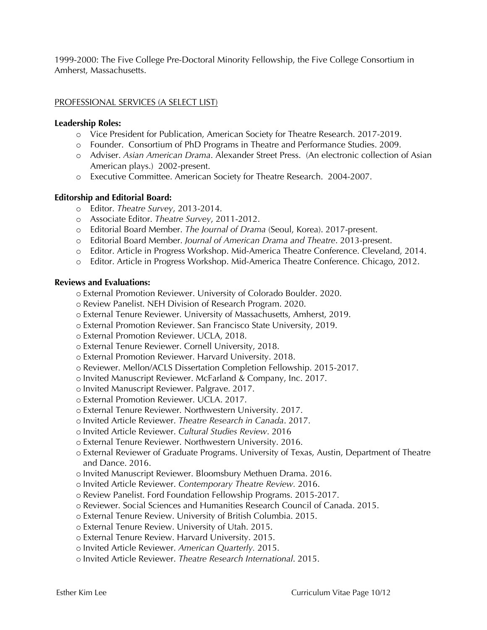1999-2000: The Five College Pre-Doctoral Minority Fellowship, the Five College Consortium in Amherst, Massachusetts.

## PROFESSIONAL SERVICES (A SELECT LIST)

#### **Leadership Roles:**

- o Vice President for Publication, American Society for Theatre Research. 2017-2019.
- o Founder. Consortium of PhD Programs in Theatre and Performance Studies. 2009.
- o Adviser. *Asian American Drama*. Alexander Street Press. (An electronic collection of Asian American plays.) 2002-present.
- o Executive Committee. American Society for Theatre Research. 2004-2007.

#### **Editorship and Editorial Board:**

- o Editor. *Theatre Survey*, 2013-2014.
- o Associate Editor. *Theatre Survey*, 2011-2012.
- o Editorial Board Member. *The Journal of Drama* (Seoul, Korea). 2017-present.
- o Editorial Board Member. *Journal of American Drama and Theatre*. 2013-present.
- o Editor. Article in Progress Workshop. Mid-America Theatre Conference. Cleveland, 2014.
- o Editor. Article in Progress Workshop. Mid-America Theatre Conference. Chicago, 2012.

#### **Reviews and Evaluations:**

- o External Promotion Reviewer. University of Colorado Boulder. 2020.
- o Review Panelist. NEH Division of Research Program. 2020.
- o External Tenure Reviewer. University of Massachusetts, Amherst, 2019.
- o External Promotion Reviewer. San Francisco State University, 2019.
- o External Promotion Reviewer. UCLA, 2018.
- o External Tenure Reviewer. Cornell University, 2018.
- o External Promotion Reviewer. Harvard University. 2018.
- o Reviewer. Mellon/ACLS Dissertation Completion Fellowship. 2015-2017.
- o Invited Manuscript Reviewer. McFarland & Company, Inc. 2017.
- o Invited Manuscript Reviewer. Palgrave. 2017.
- o External Promotion Reviewer. UCLA. 2017.
- o External Tenure Reviewer. Northwestern University. 2017.
- o Invited Article Reviewer. *Theatre Research in Canada*. 2017.
- o Invited Article Reviewer. *Cultural Studies Review*. 2016
- o External Tenure Reviewer. Northwestern University. 2016.
- o External Reviewer of Graduate Programs. University of Texas, Austin, Department of Theatre and Dance. 2016.
- o Invited Manuscript Reviewer. Bloomsbury Methuen Drama. 2016.
- o Invited Article Reviewer. *Contemporary Theatre Review.* 2016.
- o Review Panelist. Ford Foundation Fellowship Programs. 2015-2017.
- o Reviewer. Social Sciences and Humanities Research Council of Canada. 2015.
- o External Tenure Review. University of British Columbia. 2015.
- o External Tenure Review. University of Utah. 2015.
- o External Tenure Review. Harvard University. 2015.
- o Invited Article Reviewer. *American Quarterly.* 2015.
- o Invited Article Reviewer. *Theatre Research International*. 2015.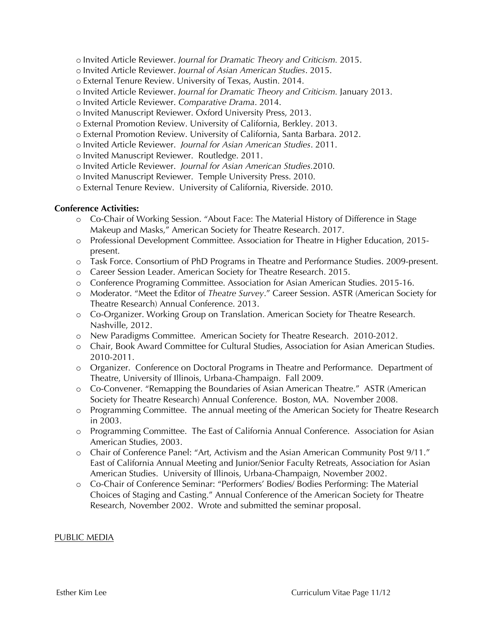- o Invited Article Reviewer. *Journal for Dramatic Theory and Criticism.* 2015.
- o Invited Article Reviewer. *Journal of Asian American Studies*. 2015.
- o External Tenure Review. University of Texas, Austin. 2014.
- o Invited Article Reviewer. *Journal for Dramatic Theory and Criticism.* January 2013.
- o Invited Article Reviewer. *Comparative Drama*. 2014.
- o Invited Manuscript Reviewer. Oxford University Press, 2013.
- o External Promotion Review. University of California, Berkley. 2013.
- o External Promotion Review. University of California, Santa Barbara. 2012.
- o Invited Article Reviewer. *Journal for Asian American Studies*. 2011.
- o Invited Manuscript Reviewer. Routledge. 2011.
- o Invited Article Reviewer. *Journal for Asian American Studies.*2010.
- o Invited Manuscript Reviewer. Temple University Press. 2010.
- o External Tenure Review. University of California, Riverside. 2010.

## **Conference Activities:**

- o Co-Chair of Working Session. "About Face: The Material History of Difference in Stage Makeup and Masks," American Society for Theatre Research. 2017.
- o Professional Development Committee. Association for Theatre in Higher Education, 2015 present.
- o Task Force. Consortium of PhD Programs in Theatre and Performance Studies. 2009-present.
- o Career Session Leader. American Society for Theatre Research. 2015.
- o Conference Programing Committee. Association for Asian American Studies. 2015-16.
- o Moderator. "Meet the Editor of *Theatre Survey*." Career Session. ASTR (American Society for Theatre Research) Annual Conference. 2013.
- o Co-Organizer. Working Group on Translation. American Society for Theatre Research. Nashville, 2012.
- o New Paradigms Committee. American Society for Theatre Research. 2010-2012.
- o Chair, Book Award Committee for Cultural Studies, Association for Asian American Studies. 2010-2011.
- o Organizer. Conference on Doctoral Programs in Theatre and Performance. Department of Theatre, University of Illinois, Urbana-Champaign. Fall 2009.
- o Co-Convener. "Remapping the Boundaries of Asian American Theatre." ASTR (American Society for Theatre Research) Annual Conference. Boston, MA. November 2008.
- o Programming Committee. The annual meeting of the American Society for Theatre Research in 2003.
- o Programming Committee. The East of California Annual Conference. Association for Asian American Studies, 2003.
- o Chair of Conference Panel: "Art, Activism and the Asian American Community Post 9/11." East of California Annual Meeting and Junior/Senior Faculty Retreats, Association for Asian American Studies. University of Illinois, Urbana-Champaign, November 2002.
- o Co-Chair of Conference Seminar: "Performers' Bodies/ Bodies Performing: The Material Choices of Staging and Casting." Annual Conference of the American Society for Theatre Research, November 2002. Wrote and submitted the seminar proposal.

#### PUBLIC MEDIA